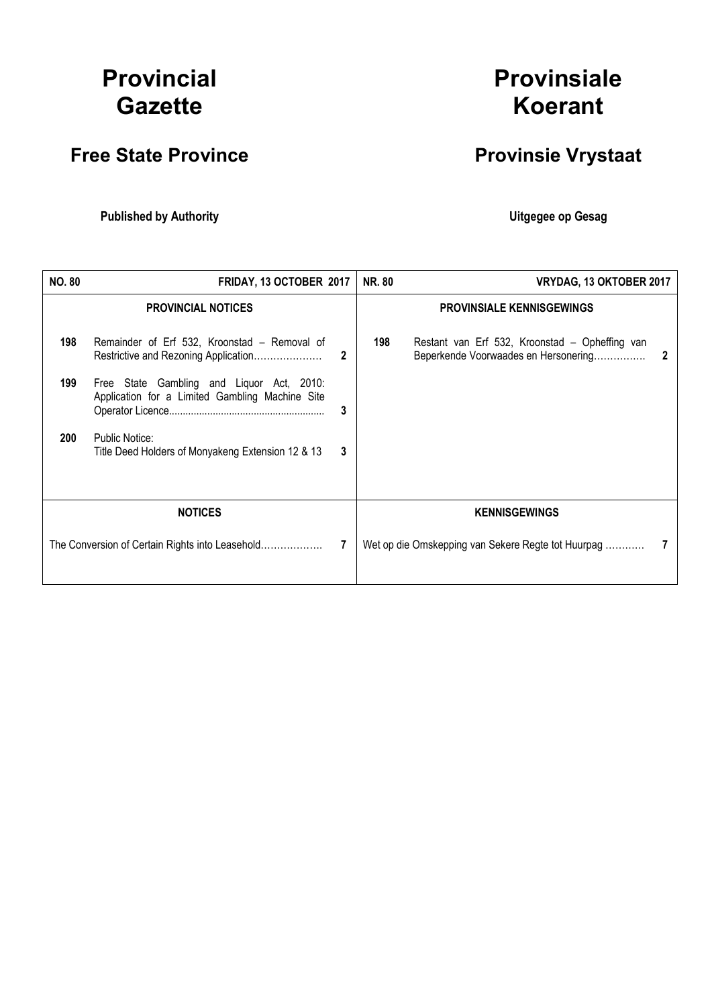# Provincial **Gazette**

# Free State Province **Provinsie Vrystaat**

Published by Authority **National Execution Control Control Control Control Control Control Control Control Control Control Control Control Control Control Control Control Control Control Control Control Control Control Con** 

# Provinsiale Koerant

| <b>NO. 80</b>  | FRIDAY, 13 OCTOBER 2017                                                                                                                                             |        | <b>NR. 80</b> | VRYDAG, 13 OKTOBER 2017                                                                |   |
|----------------|---------------------------------------------------------------------------------------------------------------------------------------------------------------------|--------|---------------|----------------------------------------------------------------------------------------|---|
|                | <b>PROVINCIAL NOTICES</b>                                                                                                                                           |        |               | <b>PROVINSIALE KENNISGEWINGS</b>                                                       |   |
| 198            | Remainder of Erf 532, Kroonstad – Removal of<br>Restrictive and Rezoning Application                                                                                | 2      | 198           | Restant van Erf 532, Kroonstad – Opheffing van<br>Beperkende Voorwaades en Hersonering | 2 |
| 199<br>200     | Free State Gambling and Liquor Act, 2010:<br>Application for a Limited Gambling Machine Site<br>Public Notice:<br>Title Deed Holders of Monyakeng Extension 12 & 13 | 3<br>3 |               |                                                                                        |   |
|                |                                                                                                                                                                     |        |               |                                                                                        |   |
| <b>NOTICES</b> |                                                                                                                                                                     |        |               | <b>KENNISGEWINGS</b>                                                                   |   |
|                |                                                                                                                                                                     |        |               | Wet op die Omskepping van Sekere Regte tot Huurpag                                     |   |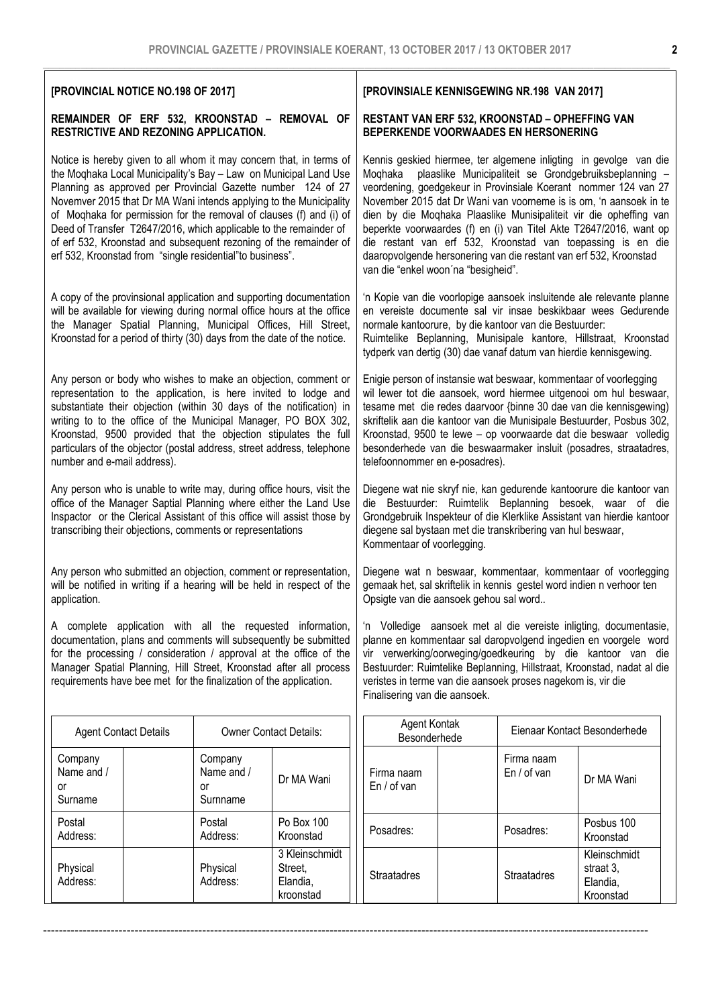| [PROVINCIAL NOTICE NO.198 OF 2017]                                                                                                                                                                                                                                                                                                                                                                                                                                                                                                                           |                                                                                        |                                      | [PROVINSIALE KENNISGEWING NR.198 VAN 2017]                                                                                                                                                                                                                                                                                                                                                                                                                                                                                                                                                           |                                                              |                                                                                                                                                                                                                                                                               |                                      |
|--------------------------------------------------------------------------------------------------------------------------------------------------------------------------------------------------------------------------------------------------------------------------------------------------------------------------------------------------------------------------------------------------------------------------------------------------------------------------------------------------------------------------------------------------------------|----------------------------------------------------------------------------------------|--------------------------------------|------------------------------------------------------------------------------------------------------------------------------------------------------------------------------------------------------------------------------------------------------------------------------------------------------------------------------------------------------------------------------------------------------------------------------------------------------------------------------------------------------------------------------------------------------------------------------------------------------|--------------------------------------------------------------|-------------------------------------------------------------------------------------------------------------------------------------------------------------------------------------------------------------------------------------------------------------------------------|--------------------------------------|
| REMAINDER OF ERF 532, KROONSTAD - REMOVAL OF<br>RESTRICTIVE AND REZONING APPLICATION.                                                                                                                                                                                                                                                                                                                                                                                                                                                                        | RESTANT VAN ERF 532, KROONSTAD - OPHEFFING VAN<br>BEPERKENDE VOORWAADES EN HERSONERING |                                      |                                                                                                                                                                                                                                                                                                                                                                                                                                                                                                                                                                                                      |                                                              |                                                                                                                                                                                                                                                                               |                                      |
| Notice is hereby given to all whom it may concern that, in terms of<br>the Moqhaka Local Municipality's Bay - Law on Municipal Land Use<br>Planning as approved per Provincial Gazette number 124 of 27<br>Novemver 2015 that Dr MA Wani intends applying to the Municipality<br>of Moqhaka for permission for the removal of clauses (f) and (i) of<br>Deed of Transfer T2647/2016, which applicable to the remainder of<br>of erf 532, Kroonstad and subsequent rezoning of the remainder of<br>erf 532, Kroonstad from "single residential" to business". |                                                                                        |                                      | Kennis geskied hiermee, ter algemene inligting in gevolge van die<br>plaaslike Municipaliteit se Grondgebruiksbeplanning -<br>Moqhaka<br>veordening, goedgekeur in Provinsiale Koerant nommer 124 van 27<br>November 2015 dat Dr Wani van voorneme is is om, 'n aansoek in te<br>dien by die Moqhaka Plaaslike Munisipaliteit vir die opheffing van<br>beperkte voorwaardes (f) en (i) van Titel Akte T2647/2016, want op<br>die restant van erf 532, Kroonstad van toepassing is en die<br>daaropvolgende hersonering van die restant van erf 532, Kroonstad<br>van die "enkel woon'na "besigheid". |                                                              |                                                                                                                                                                                                                                                                               |                                      |
| A copy of the provinsional application and supporting documentation<br>will be available for viewing during normal office hours at the office<br>the Manager Spatial Planning, Municipal Offices, Hill Street,<br>Kroonstad for a period of thirty (30) days from the date of the notice.                                                                                                                                                                                                                                                                    |                                                                                        |                                      | 'n Kopie van die voorlopige aansoek insluitende ale relevante planne<br>en vereiste documente sal vir insae beskikbaar wees Gedurende<br>normale kantoorure, by die kantoor van die Bestuurder:<br>Ruimtelike Beplanning, Munisipale kantore, Hillstraat, Kroonstad<br>tydperk van dertig (30) dae vanaf datum van hierdie kennisgewing.                                                                                                                                                                                                                                                             |                                                              |                                                                                                                                                                                                                                                                               |                                      |
| Any person or body who wishes to make an objection, comment or<br>representation to the application, is here invited to lodge and<br>substantiate their objection (within 30 days of the notification) in<br>writing to to the office of the Municipal Manager, PO BOX 302,<br>Kroonstad, 9500 provided that the objection stipulates the full<br>particulars of the objector (postal address, street address, telephone<br>number and e-mail address).                                                                                                      |                                                                                        |                                      | Enigie person of instansie wat beswaar, kommentaar of voorlegging<br>wil lewer tot die aansoek, word hiermee uitgenooi om hul beswaar,<br>tesame met die redes daarvoor {binne 30 dae van die kennisgewing}<br>skriftelik aan die kantoor van die Munisipale Bestuurder, Posbus 302,<br>Kroonstad, 9500 te lewe - op voorwaarde dat die beswaar volledig<br>besonderhede van die beswaarmaker insluit (posadres, straatadres,<br>telefoonnommer en e-posadres).                                                                                                                                      |                                                              |                                                                                                                                                                                                                                                                               |                                      |
| Any person who is unable to write may, during office hours, visit the<br>office of the Manager Saptial Planning where either the Land Use<br>Inspactor or the Clerical Assistant of this office will assist those by<br>transcribing their objections, comments or representations                                                                                                                                                                                                                                                                           |                                                                                        |                                      | Diegene wat nie skryf nie, kan gedurende kantoorure die kantoor van<br>die Bestuurder: Ruimtelik Beplanning besoek, waar of die<br>Grondgebruik Inspekteur of die Klerklike Assistant van hierdie kantoor<br>diegene sal bystaan met die transkribering van hul beswaar,<br>Kommentaar of voorlegging.                                                                                                                                                                                                                                                                                               |                                                              |                                                                                                                                                                                                                                                                               |                                      |
| Any person who submitted an objection, comment or representation,<br>will be notified in writing if a hearing will be held in respect of the<br>application.                                                                                                                                                                                                                                                                                                                                                                                                 |                                                                                        |                                      | Diegene wat n beswaar, kommentaar, kommentaar of voorlegging<br>gemaak het, sal skriftelik in kennis gestel word indien n verhoor ten<br>Opsigte van die aansoek gehou sal word                                                                                                                                                                                                                                                                                                                                                                                                                      |                                                              |                                                                                                                                                                                                                                                                               |                                      |
| A complete application with all the requested information,<br>documentation, plans and comments will subsequently be submitted<br>for the processing / consideration / approval at the office of the<br>Manager Spatial Planning, Hill Street, Kroonstad after all process<br>requirements have bee met for the finalization of the application.                                                                                                                                                                                                             |                                                                                        | Finalisering van die aansoek.        |                                                                                                                                                                                                                                                                                                                                                                                                                                                                                                                                                                                                      | veristes in terme van die aansoek proses nagekom is, vir die | 'n Volledige aansoek met al die vereiste inligting, documentasie,<br>planne en kommentaar sal daropvolgend ingedien en voorgele word<br>vir verwerking/oorweging/goedkeuring by die kantoor van die<br>Bestuurder: Ruimtelike Beplanning, Hillstraat, Kroonstad, nadat al die |                                      |
| <b>Agent Contact Details</b>                                                                                                                                                                                                                                                                                                                                                                                                                                                                                                                                 |                                                                                        | <b>Owner Contact Details:</b>        | Agent Kontak<br>Eienaar Kontact Besonderhede<br>Besonderhede                                                                                                                                                                                                                                                                                                                                                                                                                                                                                                                                         |                                                              |                                                                                                                                                                                                                                                                               |                                      |
| Company<br>Name and /<br>or<br>Surname                                                                                                                                                                                                                                                                                                                                                                                                                                                                                                                       | Company<br>Name and /<br>or<br>Surnname                                                | Dr MA Wani                           | Firma naam<br>En / of van                                                                                                                                                                                                                                                                                                                                                                                                                                                                                                                                                                            |                                                              | Firma naam<br>En / of van                                                                                                                                                                                                                                                     | Dr MA Wani                           |
| Postal<br>Address:                                                                                                                                                                                                                                                                                                                                                                                                                                                                                                                                           | Postal<br>Address:                                                                     | Po Box 100<br>Kroonstad              | Posadres:                                                                                                                                                                                                                                                                                                                                                                                                                                                                                                                                                                                            |                                                              | Posadres:                                                                                                                                                                                                                                                                     | Posbus 100<br>Kroonstad              |
| Physical<br>Address:                                                                                                                                                                                                                                                                                                                                                                                                                                                                                                                                         | Physical<br>Vyyuvec.                                                                   | 3 Kleinschmidt<br>Street,<br>Elendie | Straatadres                                                                                                                                                                                                                                                                                                                                                                                                                                                                                                                                                                                          |                                                              | Straatadres                                                                                                                                                                                                                                                                   | Kleinschmidt<br>straat 3,<br>Elondia |

Elandia, kroonstad

Address:

Address:

Elandia, Kroonstad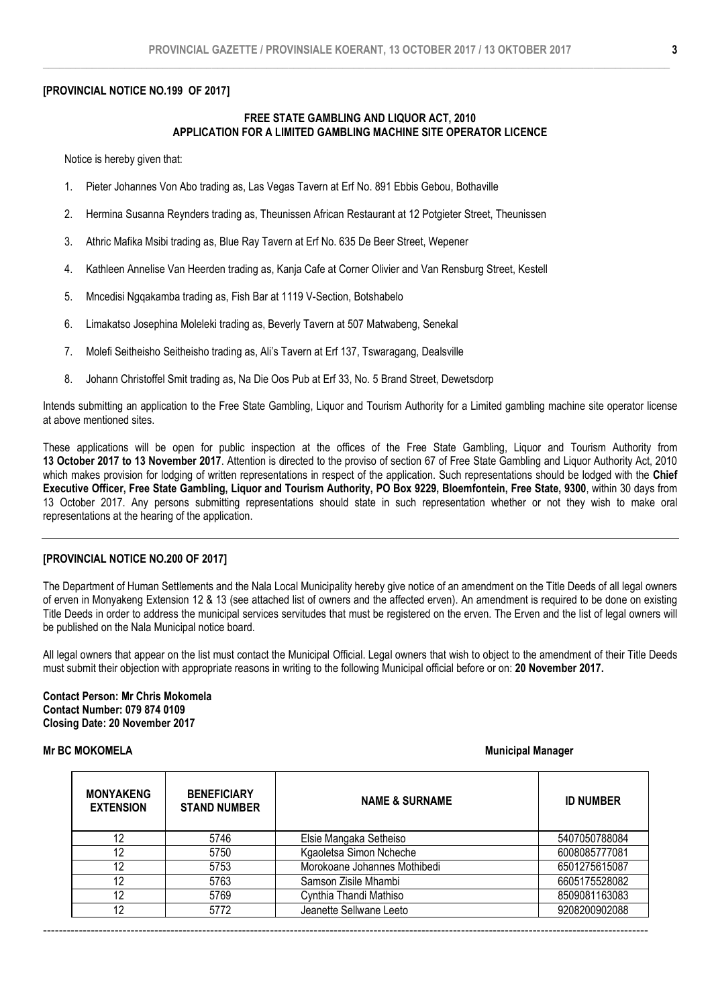#### [PROVINCIAL NOTICE NO.199 OF 2017]

#### FREE STATE GAMBLING AND LIQUOR ACT, 2010 APPLICATION FOR A LIMITED GAMBLING MACHINE SITE OPERATOR LICENCE

Notice is hereby given that:

- 1. Pieter Johannes Von Abo trading as, Las Vegas Tavern at Erf No. 891 Ebbis Gebou, Bothaville
- 2. Hermina Susanna Reynders trading as, Theunissen African Restaurant at 12 Potgieter Street, Theunissen
- 3. Athric Mafika Msibi trading as, Blue Ray Tavern at Erf No. 635 De Beer Street, Wepener
- 4. Kathleen Annelise Van Heerden trading as, Kanja Cafe at Corner Olivier and Van Rensburg Street, Kestell
- 5. Mncedisi Ngqakamba trading as, Fish Bar at 1119 V-Section, Botshabelo
- 6. Limakatso Josephina Moleleki trading as, Beverly Tavern at 507 Matwabeng, Senekal
- 7. Molefi Seitheisho Seitheisho trading as, Ali's Tavern at Erf 137, Tswaragang, Dealsville
- 8. Johann Christoffel Smit trading as, Na Die Oos Pub at Erf 33, No. 5 Brand Street, Dewetsdorp

Intends submitting an application to the Free State Gambling, Liquor and Tourism Authority for a Limited gambling machine site operator license at above mentioned sites.

These applications will be open for public inspection at the offices of the Free State Gambling, Liquor and Tourism Authority from 13 October 2017 to 13 November 2017. Attention is directed to the proviso of section 67 of Free State Gambling and Liquor Authority Act, 2010 which makes provision for lodging of written representations in respect of the application. Such representations should be lodged with the Chief Executive Officer, Free State Gambling, Liquor and Tourism Authority, PO Box 9229, Bloemfontein, Free State, 9300, within 30 days from 13 October 2017. Any persons submitting representations should state in such representation whether or not they wish to make oral representations at the hearing of the application.

#### [PROVINCIAL NOTICE NO.200 OF 2017]

The Department of Human Settlements and the Nala Local Municipality hereby give notice of an amendment on the Title Deeds of all legal owners of erven in Monyakeng Extension 12 & 13 (see attached list of owners and the affected erven). An amendment is required to be done on existing Title Deeds in order to address the municipal services servitudes that must be registered on the erven. The Erven and the list of legal owners will be published on the Nala Municipal notice board.

All legal owners that appear on the list must contact the Municipal Official. Legal owners that wish to object to the amendment of their Title Deeds must submit their objection with appropriate reasons in writing to the following Municipal official before or on: 20 November 2017.

#### Contact Person: Mr Chris Mokomela Contact Number: 079 874 0109 Closing Date: 20 November 2017

# Mr BC MOKOMELA Municipal Manager Number of the Municipal Manager of the Municipal Manager of the Municipal Manager

| <b>MONYAKENG</b><br><b>EXTENSION</b> | <b>BENEFICIARY</b><br><b>STAND NUMBER</b> | <b>NAME &amp; SURNAME</b>    | <b>ID NUMBER</b> |
|--------------------------------------|-------------------------------------------|------------------------------|------------------|
| 12                                   | 5746                                      | Elsie Mangaka Setheiso       | 5407050788084    |
| 12                                   | 5750                                      | Kgaoletsa Simon Ncheche      | 6008085777081    |
| 12                                   | 5753                                      | Morokoane Johannes Mothibedi | 6501275615087    |
| 12                                   | 5763                                      | Samson Zisile Mhambi         | 6605175528082    |
| 12                                   | 5769                                      | Cynthia Thandi Mathiso       | 8509081163083    |
| 12                                   | 5772                                      | Jeanette Sellwane Leeto      | 9208200902088    |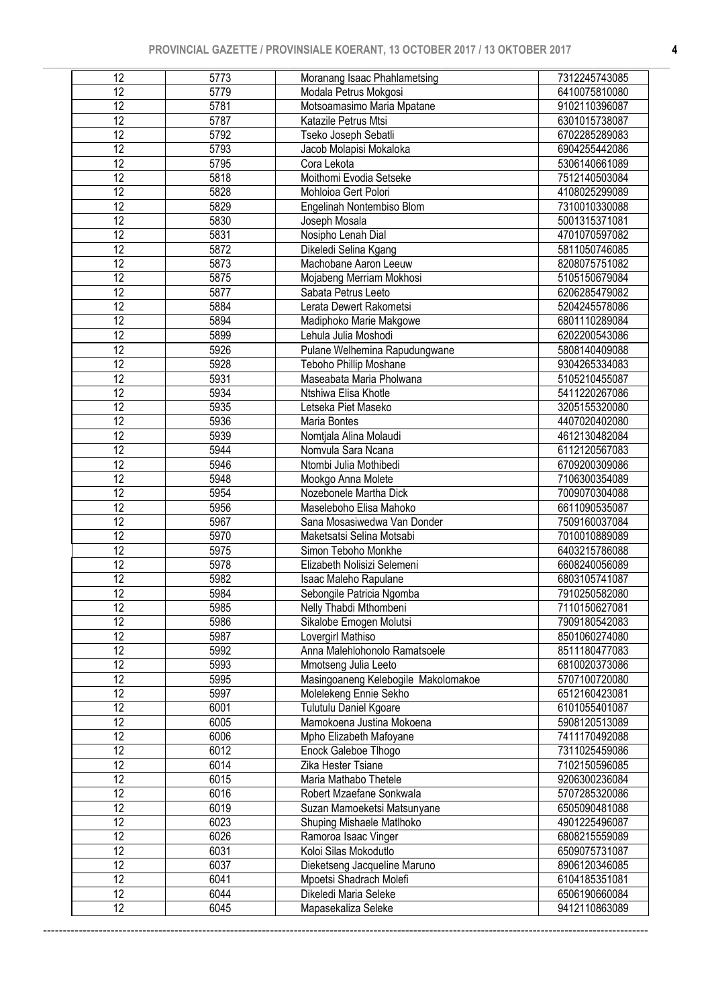| 12              | 5773              | Moranang Isaac Phahlametsing        | 7312245743085 |
|-----------------|-------------------|-------------------------------------|---------------|
| $\overline{12}$ | 5779              | Modala Petrus Mokgosi               | 6410075810080 |
| 12              | 5781              | Motsoamasimo Maria Mpatane          | 9102110396087 |
| $\overline{12}$ | 5787              | Katazile Petrus Mtsi                | 6301015738087 |
| $\overline{12}$ | 5792              | Tseko Joseph Sebatli                | 6702285289083 |
| 12              | 5793              | Jacob Molapisi Mokaloka             | 6904255442086 |
| $\overline{12}$ | $\overline{5795}$ | Cora Lekota                         | 5306140661089 |
| $\overline{12}$ | 5818              | Moithomi Evodia Setseke             | 7512140503084 |
| 12              | 5828              | Mohloioa Gert Polori                | 4108025299089 |
| 12              | 5829              | Engelinah Nontembiso Blom           | 7310010330088 |
| $\overline{12}$ | 5830              | Joseph Mosala                       | 5001315371081 |
| $\overline{12}$ | 5831              | Nosipho Lenah Dial                  | 4701070597082 |
| $\overline{12}$ | 5872              | Dikeledi Selina Kgang               | 5811050746085 |
| $\overline{12}$ | 5873              | Machobane Aaron Leeuw               | 8208075751082 |
| $\overline{12}$ | 5875              | Mojabeng Merriam Mokhosi            | 5105150679084 |
| $\overline{12}$ | 5877              | Sabata Petrus Leeto                 | 6206285479082 |
| $\overline{12}$ | 5884              | Lerata Dewert Rakometsi             | 5204245578086 |
| $\overline{12}$ | 5894              | Madiphoko Marie Makgowe             | 6801110289084 |
| $\overline{12}$ | 5899              | Lehula Julia Moshodi                | 6202200543086 |
| 12              | 5926              | Pulane Welhemina Rapudungwane       | 5808140409088 |
| $\overline{12}$ | 5928              | Teboho Phillip Moshane              | 9304265334083 |
| $\overline{12}$ | 5931              | Maseabata Maria Pholwana            | 5105210455087 |
| 12              | 5934              | Ntshiwa Elisa Khotle                | 5411220267086 |
| $\overline{12}$ | 5935              | Letseka Piet Maseko                 | 3205155320080 |
| $\overline{12}$ | 5936              | Maria Bontes                        | 4407020402080 |
| 12              | 5939              | Nomtjala Alina Molaudi              | 4612130482084 |
| $\overline{12}$ | 5944              | Nomvula Sara Ncana                  | 6112120567083 |
| $\overline{12}$ | 5946              | Ntombi Julia Mothibedi              | 6709200309086 |
| $\overline{12}$ | 5948              | Mookgo Anna Molete                  | 7106300354089 |
| $\overline{12}$ | 5954              | Nozebonele Martha Dick              | 7009070304088 |
| 12              | 5956              | Maseleboho Elisa Mahoko             | 6611090535087 |
| $\overline{12}$ | 5967              | Sana Mosasiwedwa Van Donder         | 7509160037084 |
| $\overline{12}$ | 5970              | Maketsatsi Selina Motsabi           | 7010010889089 |
| 12              | 5975              | Simon Teboho Monkhe                 | 6403215786088 |
| $\overline{12}$ | 5978              | Elizabeth Nolisizi Selemeni         | 6608240056089 |
| $\overline{12}$ | 5982              | Isaac Maleho Rapulane               | 6803105741087 |
| 12              | 5984              | Sebongile Patricia Ngomba           | 7910250582080 |
| 12              | 5985              | Nelly Thabdi Mthombeni              | 7110150627081 |
| 12              | 5986              | Sikalobe Emogen Molutsi             | 7909180542083 |
| $\overline{12}$ | 5987              | Lovergirl Mathiso                   | 8501060274080 |
| 12              | 5992              | Anna Malehlohonolo Ramatsoele       | 8511180477083 |
| 12              | 5993              | Mmotseng Julia Leeto                | 6810020373086 |
| 12              | 5995              | Masingoaneng Kelebogile Makolomakoe | 5707100720080 |
| 12              | 5997              | Molelekeng Ennie Sekho              | 6512160423081 |
| 12              | 6001              | Tulutulu Daniel Kgoare              | 6101055401087 |
| 12              | 6005              | Mamokoena Justina Mokoena           | 5908120513089 |
| 12              | 6006              | Mpho Elizabeth Mafoyane             | 7411170492088 |
| 12              | 6012              | Enock Galeboe Tlhogo                | 7311025459086 |
| 12              | 6014              | Zika Hester Tsiane                  | 7102150596085 |
| 12              | 6015              | Maria Mathabo Thetele               | 9206300236084 |
| 12              | 6016              | Robert Mzaefane Sonkwala            | 5707285320086 |
| 12              | 6019              | Suzan Mamoeketsi Matsunyane         | 6505090481088 |
| 12              | 6023              | Shuping Mishaele Matlhoko           | 4901225496087 |
| $\overline{12}$ | 6026              | Ramoroa Isaac Vinger                | 6808215559089 |
| $\overline{12}$ | 6031              | Koloi Silas Mokodutlo               | 6509075731087 |
| $\overline{12}$ | 6037              | Dieketseng Jacqueline Maruno        | 8906120346085 |
| $\overline{12}$ | 6041              | Mpoetsi Shadrach Molefi             | 6104185351081 |
| 12              | 6044              | Dikeledi Maria Seleke               | 6506190660084 |
| $\overline{12}$ | 6045              | Mapasekaliza Seleke                 | 9412110863089 |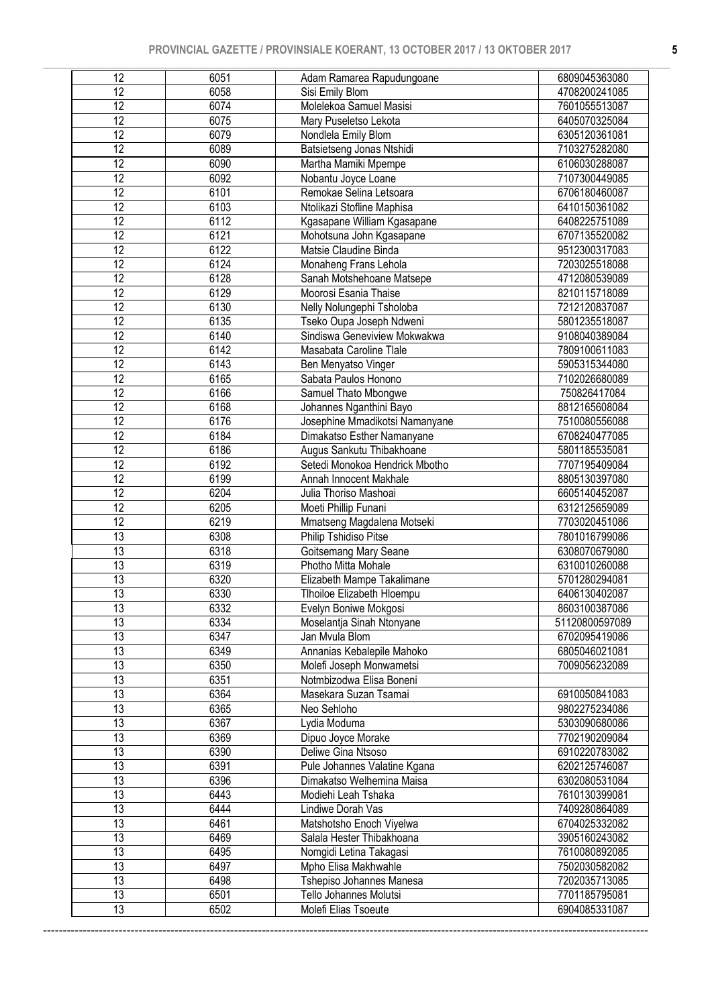| 12              | 6051 | Adam Ramarea Rapudungoane      | 6809045363080  |
|-----------------|------|--------------------------------|----------------|
| $\overline{12}$ | 6058 | Sisi Emily Blom                | 4708200241085  |
| 12              | 6074 | Molelekoa Samuel Masisi        | 7601055513087  |
| $\overline{12}$ | 6075 | Mary Puseletso Lekota          | 6405070325084  |
| $\overline{12}$ | 6079 | Nondlela Emily Blom            | 6305120361081  |
| $\overline{12}$ | 6089 | Batsietseng Jonas Ntshidi      | 7103275282080  |
| 12              | 6090 | Martha Mamiki Mpempe           | 6106030288087  |
| $\overline{12}$ | 6092 | Nobantu Joyce Loane            | 7107300449085  |
| $\overline{12}$ | 6101 | Remokae Selina Letsoara        | 6706180460087  |
| $\overline{12}$ | 6103 | Ntolikazi Stofline Maphisa     | 6410150361082  |
| $\overline{12}$ | 6112 | Kgasapane William Kgasapane    | 6408225751089  |
| $\overline{12}$ | 6121 | Mohotsuna John Kgasapane       | 6707135520082  |
| $\overline{12}$ | 6122 | Matsie Claudine Binda          | 9512300317083  |
| $\overline{12}$ | 6124 | Monaheng Frans Lehola          | 7203025518088  |
| 12              | 6128 | Sanah Motshehoane Matsepe      | 4712080539089  |
| $\overline{12}$ | 6129 | Moorosi Esania Thaise          | 8210115718089  |
| 12              | 6130 | Nelly Nolungephi Tsholoba      | 7212120837087  |
| $\overline{12}$ | 6135 | Tseko Oupa Joseph Ndweni       | 5801235518087  |
| $\overline{12}$ | 6140 | Sindiswa Geneviview Mokwakwa   | 9108040389084  |
| 12              | 6142 | Masabata Caroline Tlale        | 7809100611083  |
| $\overline{12}$ | 6143 | Ben Menyatso Vinger            | 5905315344080  |
| $\overline{12}$ | 6165 | Sabata Paulos Honono           | 7102026680089  |
| 12              | 6166 | Samuel Thato Mbongwe           | 750826417084   |
| $\overline{12}$ | 6168 | Johannes Nganthini Bayo        | 8812165608084  |
| $\overline{12}$ | 6176 | Josephine Mmadikotsi Namanyane | 7510080556088  |
| 12              | 6184 | Dimakatso Esther Namanyane     | 6708240477085  |
| $\overline{12}$ | 6186 | Augus Sankutu Thibakhoane      | 5801185535081  |
| $\overline{12}$ | 6192 | Setedi Monokoa Hendrick Mbotho | 7707195409084  |
| $\overline{12}$ | 6199 | Annah Innocent Makhale         | 8805130397080  |
| $\overline{12}$ | 6204 | Julia Thoriso Mashoai          | 6605140452087  |
| 12              | 6205 | Moeti Phillip Funani           | 6312125659089  |
| $\overline{12}$ | 6219 | Mmatseng Magdalena Motseki     | 7703020451086  |
| 13              | 6308 | Philip Tshidiso Pitse          | 7801016799086  |
| $\overline{13}$ | 6318 | Goitsemang Mary Seane          | 6308070679080  |
| 13              | 6319 | Photho Mitta Mohale            | 6310010260088  |
| $\overline{13}$ | 6320 | Elizabeth Mampe Takalimane     | 5701280294081  |
| 13              | 6330 | Tlhoiloe Elizabeth Hloempu     | 6406130402087  |
| 13              | 6332 | Evelyn Boniwe Mokgosi          | 8603100387086  |
| 13              | 6334 | Moselantja Sinah Ntonyane      | 51120800597089 |
| 13              | 6347 | Jan Mvula Blom                 | 6702095419086  |
| 13              | 6349 | Annanias Kebalepile Mahoko     | 6805046021081  |
| 13              | 6350 | Molefi Joseph Monwametsi       | 7009056232089  |
| 13              | 6351 | Notmbizodwa Elisa Boneni       |                |
| 13              | 6364 | Masekara Suzan Tsamai          | 6910050841083  |
| 13              | 6365 | Neo Sehloho                    | 9802275234086  |
| 13              | 6367 | Lydia Moduma                   | 5303090680086  |
| 13              | 6369 | Dipuo Joyce Morake             | 7702190209084  |
| 13              | 6390 | Deliwe Gina Ntsoso             | 6910220783082  |
| 13              | 6391 | Pule Johannes Valatine Kgana   | 6202125746087  |
| 13              | 6396 | Dimakatso Welhemina Maisa      | 6302080531084  |
| 13              | 6443 | Modiehi Leah Tshaka            | 7610130399081  |
| 13              | 6444 | Lindiwe Dorah Vas              | 7409280864089  |
| 13              | 6461 | Matshotsho Enoch Viyelwa       | 6704025332082  |
| 13              | 6469 | Salala Hester Thibakhoana      | 3905160243082  |
| 13              | 6495 | Nomgidi Letina Takagasi        | 7610080892085  |
| 13              | 6497 | Mpho Elisa Makhwahle           | 7502030582082  |
| 13              | 6498 | Tshepiso Johannes Manesa       | 7202035713085  |
| 13              | 6501 | Tello Johannes Molutsi         | 7701185795081  |
|                 |      |                                |                |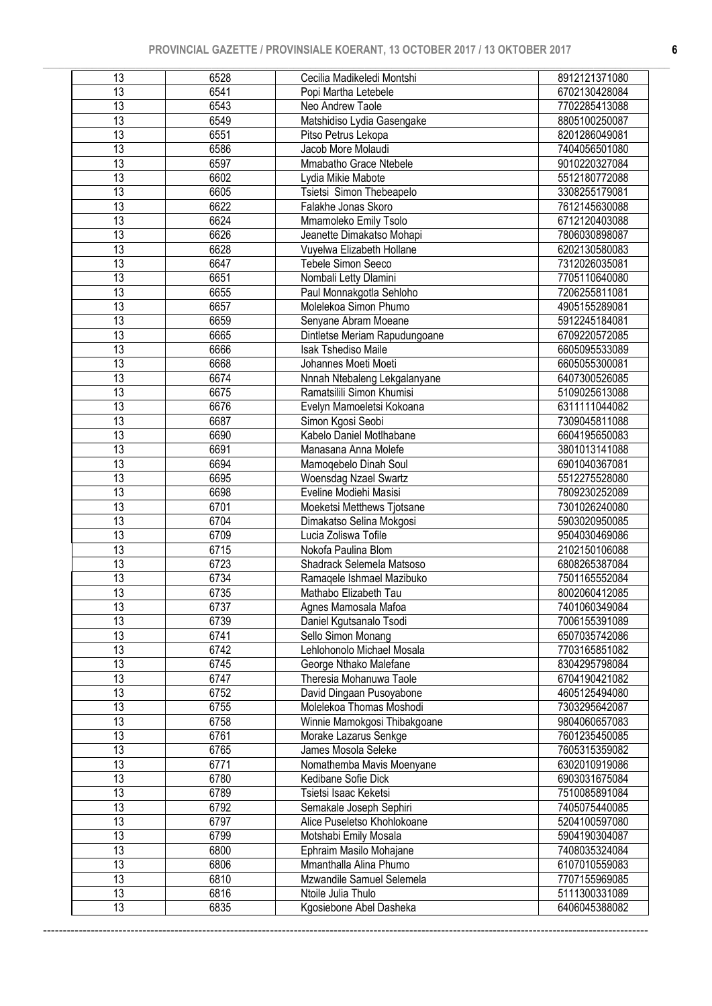| 13              | 6528 | Cecilia Madikeledi Montshi    | 8912121371080 |
|-----------------|------|-------------------------------|---------------|
| $\overline{13}$ | 6541 | Popi Martha Letebele          | 6702130428084 |
| 13              | 6543 | Neo Andrew Taole              | 7702285413088 |
| $\overline{13}$ | 6549 | Matshidiso Lydia Gasengake    | 8805100250087 |
| $\overline{13}$ | 6551 | Pitso Petrus Lekopa           | 8201286049081 |
| $\overline{13}$ | 6586 | Jacob More Molaudi            | 7404056501080 |
| $\overline{13}$ | 6597 | Mmabatho Grace Ntebele        | 9010220327084 |
| $\overline{13}$ | 6602 | Lydia Mikie Mabote            | 5512180772088 |
| $\overline{13}$ | 6605 | Tsietsi Simon Thebeapelo      | 3308255179081 |
| 13              | 6622 | Falakhe Jonas Skoro           | 7612145630088 |
| $\overline{13}$ | 6624 | Mmamoleko Emily Tsolo         | 6712120403088 |
| $\overline{13}$ | 6626 | Jeanette Dimakatso Mohapi     | 7806030898087 |
| $\overline{13}$ | 6628 | Vuyelwa Elizabeth Hollane     | 6202130580083 |
| $\overline{13}$ | 6647 | Tebele Simon Seeco            | 7312026035081 |
| $\overline{13}$ | 6651 | Nombali Letty Dlamini         | 7705110640080 |
| $\overline{13}$ | 6655 | Paul Monnakgotla Sehloho      | 7206255811081 |
| $\overline{13}$ | 6657 | Molelekoa Simon Phumo         | 4905155289081 |
| $\overline{13}$ | 6659 | Senyane Abram Moeane          | 5912245184081 |
| $\overline{13}$ | 6665 | Dintletse Meriam Rapudungoane | 6709220572085 |
| $\overline{13}$ | 6666 | <b>Isak Tshediso Maile</b>    | 6605095533089 |
| $\overline{13}$ | 6668 | Johannes Moeti Moeti          | 6605055300081 |
| $\overline{13}$ | 6674 | Nnnah Ntebaleng Lekgalanyane  | 6407300526085 |
| $\overline{13}$ | 6675 | Ramatsilili Simon Khumisi     | 5109025613088 |
| $\overline{13}$ | 6676 | Evelyn Mamoeletsi Kokoana     | 6311111044082 |
| $\overline{13}$ | 6687 | Simon Kgosi Seobi             | 7309045811088 |
| $\overline{13}$ | 6690 | Kabelo Daniel Motlhabane      | 6604195650083 |
| $\overline{13}$ | 6691 | Manasana Anna Molefe          | 3801013141088 |
| $\overline{13}$ | 6694 | Mamoqebelo Dinah Soul         | 6901040367081 |
| $\overline{13}$ | 6695 | Woensdag Nzael Swartz         | 5512275528080 |
| 13              | 6698 | Eveline Modiehi Masisi        | 7809230252089 |
| 13              | 6701 | Moeketsi Metthews Tjotsane    | 7301026240080 |
| 13              | 6704 | Dimakatso Selina Mokgosi      | 5903020950085 |
| 13              | 6709 | Lucia Zoliswa Tofile          | 9504030469086 |
| 13              | 6715 | Nokofa Paulina Blom           | 2102150106088 |
| 13              | 6723 | Shadrack Selemela Matsoso     | 6808265387084 |
| $\overline{13}$ | 6734 | Ramaqele Ishmael Mazibuko     | 7501165552084 |
| 13              | 6735 | Mathabo Elizabeth Tau         | 8002060412085 |
| 13              | 6737 | Agnes Mamosala Mafoa          | 7401060349084 |
| 13              | 6739 | Daniel Kgutsanalo Tsodi       | 7006155391089 |
| 13              | 6741 | Sello Simon Monang            | 6507035742086 |
| 13              | 6742 | Lehlohonolo Michael Mosala    | 7703165851082 |
| 13              | 6745 | George Nthako Malefane        | 8304295798084 |
| 13              | 6747 | Theresia Mohanuwa Taole       | 6704190421082 |
| 13              | 6752 | David Dingaan Pusoyabone      | 4605125494080 |
| 13              | 6755 | Molelekoa Thomas Moshodi      | 7303295642087 |
| 13              | 6758 | Winnie Mamokgosi Thibakgoane  | 9804060657083 |
| 13              | 6761 | Morake Lazarus Senkge         | 7601235450085 |
| 13              | 6765 | James Mosola Seleke           | 7605315359082 |
| 13              | 6771 | Nomathemba Mavis Moenyane     | 6302010919086 |
| 13              | 6780 | Kedibane Sofie Dick           | 6903031675084 |
| 13              | 6789 | Tsietsi Isaac Keketsi         | 7510085891084 |
| 13              | 6792 | Semakale Joseph Sephiri       | 7405075440085 |
| 13              | 6797 | Alice Puseletso Khohlokoane   | 5204100597080 |
| 13              | 6799 | Motshabi Emily Mosala         | 5904190304087 |
| 13              | 6800 | Ephraim Masilo Mohajane       | 7408035324084 |
| 13              | 6806 | Mmanthalla Alina Phumo        | 6107010559083 |
| 13              | 6810 | Mzwandile Samuel Selemela     | 7707155969085 |
| 13              | 6816 | Ntoile Julia Thulo            | 5111300331089 |
| 13              | 6835 | Kgosiebone Abel Dasheka       | 6406045388082 |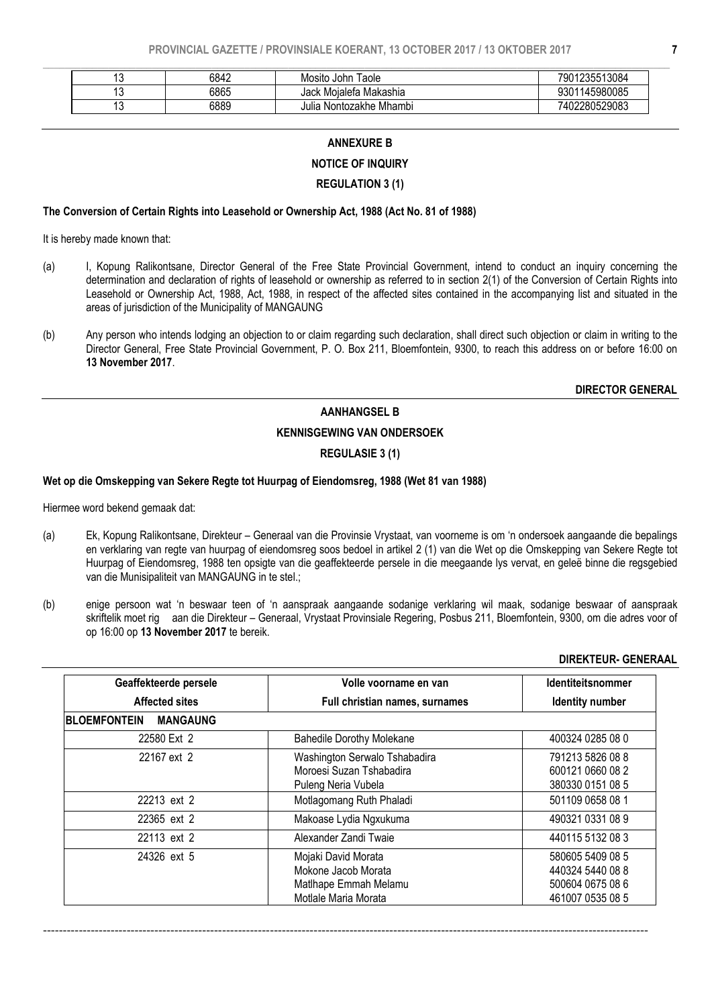|  | 6842 | Mosito John Taole       | 7901235513084     |
|--|------|-------------------------|-------------------|
|  | 6865 | Jack Moialefa Makashia  | 145980085<br>.301 |
|  | 6889 | Julia Nontozakhe Mhambi | 7402280529083     |

#### ANNEXURE B

#### NOTICE OF INQUIRY

#### REGULATION 3 (1)

#### The Conversion of Certain Rights into Leasehold or Ownership Act, 1988 (Act No. 81 of 1988)

It is hereby made known that:

- (a) I, Kopung Ralikontsane, Director General of the Free State Provincial Government, intend to conduct an inquiry concerning the determination and declaration of rights of leasehold or ownership as referred to in section 2(1) of the Conversion of Certain Rights into Leasehold or Ownership Act, 1988, Act, 1988, in respect of the affected sites contained in the accompanying list and situated in the areas of jurisdiction of the Municipality of MANGAUNG
- (b) Any person who intends lodging an objection to or claim regarding such declaration, shall direct such objection or claim in writing to the Director General, Free State Provincial Government, P. O. Box 211, Bloemfontein, 9300, to reach this address on or before 16:00 on 13 November 2017.

DIRECTOR GENERAL

#### AANHANGSEL B

KENNISGEWING VAN ONDERSOEK

REGULASIE 3 (1)

#### Wet op die Omskepping van Sekere Regte tot Huurpag of Eiendomsreg, 1988 (Wet 81 van 1988)

Hiermee word bekend gemaak dat:

- (a) Ek, Kopung Ralikontsane, Direkteur Generaal van die Provinsie Vrystaat, van voorneme is om 'n ondersoek aangaande die bepalings en verklaring van regte van huurpag of eiendomsreg soos bedoel in artikel 2 (1) van die Wet op die Omskepping van Sekere Regte tot Huurpag of Eiendomsreg, 1988 ten opsigte van die geaffekteerde persele in die meegaande lys vervat, en geleë binne die regsgebied van die Munisipaliteit van MANGAUNG in te stel.;
- (b) enige persoon wat 'n beswaar teen of 'n aanspraak aangaande sodanige verklaring wil maak, sodanige beswaar of aanspraak skriftelik moet rig aan die Direkteur – Generaal, Vrystaat Provinsiale Regering, Posbus 211, Bloemfontein, 9300, om die adres voor of op 16:00 op 13 November 2017 te bereik.

#### DIREKTEUR- GENERAAL

| Geaffekteerde persele                  | Volle voorname en van                                                                       | <b>Identiteitsnommer</b>                                                     |
|----------------------------------------|---------------------------------------------------------------------------------------------|------------------------------------------------------------------------------|
| <b>Affected sites</b>                  | Full christian names, surnames                                                              | Identity number                                                              |
| <b>BLOEMFONTEIN</b><br><b>MANGAUNG</b> |                                                                                             |                                                                              |
| 22580 Ext 2                            | <b>Bahedile Dorothy Molekane</b>                                                            | 400324 0285 08 0                                                             |
| 22167 ext 2                            | Washington Serwalo Tshabadira<br>Moroesi Suzan Tshabadira<br>Puleng Neria Vubela            | 791213 5826 08 8<br>600121 0660 08 2<br>380330 0151 08 5                     |
| 22213 ext 2                            | Motlagomang Ruth Phaladi                                                                    | 501109 0658 08 1                                                             |
| 22365 ext 2                            | Makoase Lydia Ngxukuma                                                                      | 490321 0331 08 9                                                             |
| 22113 ext 2                            | Alexander Zandi Twaie                                                                       | 440115 5132 08 3                                                             |
| 24326 ext 5                            | Mojaki David Morata<br>Mokone Jacob Morata<br>Matlhape Emmah Melamu<br>Motlale Maria Morata | 580605 5409 08 5<br>440324 5440 08 8<br>500604 0675 08 6<br>461007 0535 08 5 |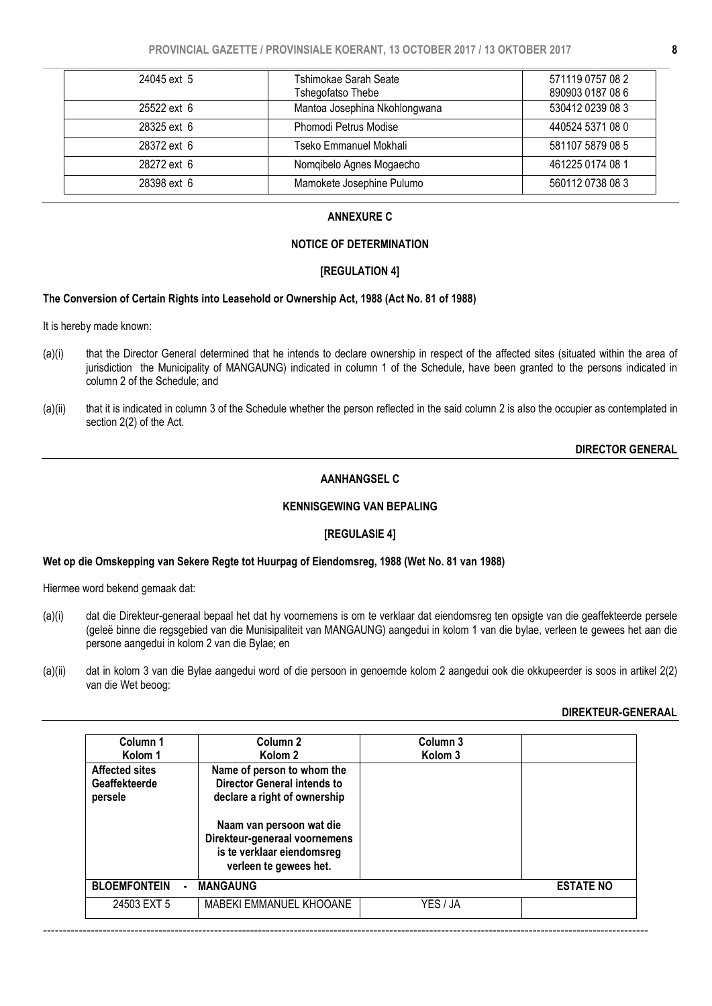| 24045 ext 5 | Tshimokae Sarah Seate<br>Tshegofatso Thebe | 571119 0757 08 2<br>890903 0187 08 6 |
|-------------|--------------------------------------------|--------------------------------------|
| 25522 ext 6 | Mantoa Josephina Nkohlongwana              | 530412 0239 08 3                     |
| 28325 ext 6 | Phomodi Petrus Modise                      | 440524 5371 08 0                     |
| 28372 ext 6 | Tseko Emmanuel Mokhali                     | 581107 5879 08 5                     |
| 28272 ext 6 | Nomqibelo Agnes Mogaecho                   | 461225 0174 08 1                     |
| 28398 ext 6 | Mamokete Josephine Pulumo                  | 560112 0738 08 3                     |

# ANNEXURE C

## NOTICE OF DETERMINATION

#### [REGULATION 4]

#### The Conversion of Certain Rights into Leasehold or Ownership Act, 1988 (Act No. 81 of 1988)

It is hereby made known:

- (a)(i) that the Director General determined that he intends to declare ownership in respect of the affected sites (situated within the area of jurisdiction the Municipality of MANGAUNG) indicated in column 1 of the Schedule, have been granted to the persons indicated in column 2 of the Schedule; and
- (a)(ii) that it is indicated in column 3 of the Schedule whether the person reflected in the said column 2 is also the occupier as contemplated in section 2(2) of the Act.

## DIRECTOR GENERAL

## AANHANGSEL C

## KENNISGEWING VAN BEPALING

#### [REGULASIE 4]

#### Wet op die Omskepping van Sekere Regte tot Huurpag of Eiendomsreg, 1988 (Wet No. 81 van 1988)

Hiermee word bekend gemaak dat:

- (a)(i) dat die Direkteur-generaal bepaal het dat hy voornemens is om te verklaar dat eiendomsreg ten opsigte van die geaffekteerde persele (geleë binne die regsgebied van die Munisipaliteit van MANGAUNG) aangedui in kolom 1 van die bylae, verleen te gewees het aan die persone aangedui in kolom 2 van die Bylae; en
- (a)(ii) dat in kolom 3 van die Bylae aangedui word of die persoon in genoemde kolom 2 aangedui ook die okkupeerder is soos in artikel 2(2) van die Wet beoog:

#### DIREKTEUR-GENERAAL

| Column 1<br>Kolom 1<br><b>Affected sites</b><br>Geaffekteerde<br>persele | Column <sub>2</sub><br>Kolom <sub>2</sub><br>Name of person to whom the<br><b>Director General intends to</b><br>declare a right of ownership<br>Naam van persoon wat die<br>Direkteur-generaal voornemens<br>is te verklaar eiendomsreg<br>verleen te gewees het. | Column 3<br>Kolom <sub>3</sub> |                  |
|--------------------------------------------------------------------------|--------------------------------------------------------------------------------------------------------------------------------------------------------------------------------------------------------------------------------------------------------------------|--------------------------------|------------------|
| <b>BLOEMFONTEIN</b>                                                      | <b>MANGAUNG</b>                                                                                                                                                                                                                                                    |                                | <b>ESTATE NO</b> |
| 24503 EXT 5                                                              | MABEKI EMMANUEL KHOOANE                                                                                                                                                                                                                                            | YES / JA                       |                  |